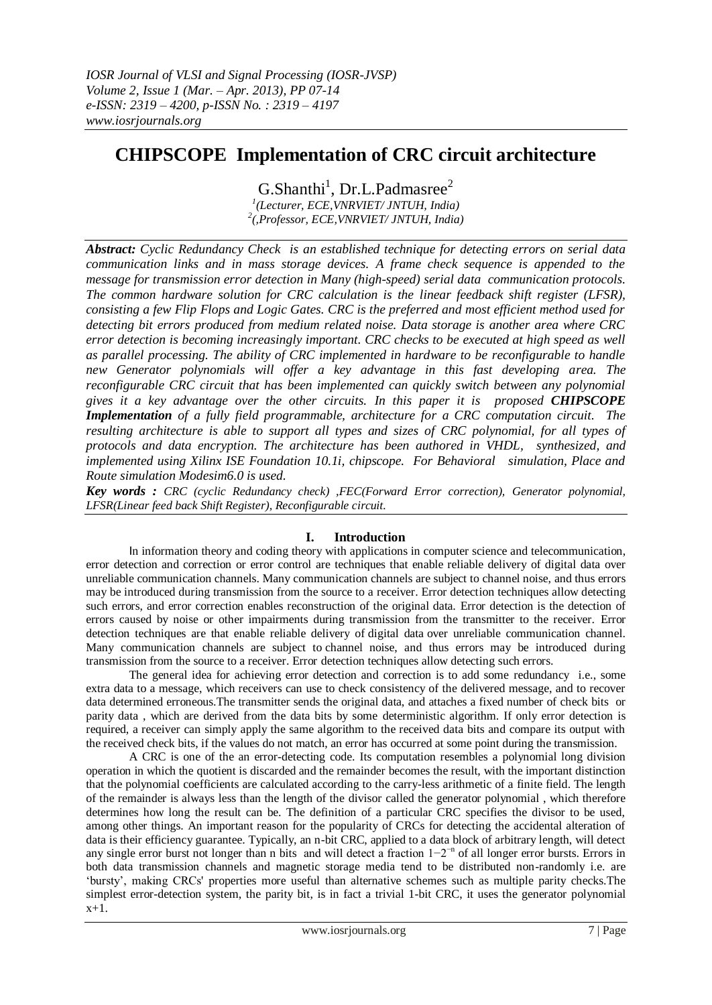# **CHIPSCOPE Implementation of CRC circuit architecture**

 $G.Shanthi<sup>1</sup>, Dr.L.Padmasree<sup>2</sup>$ *1 (Lecturer, ECE,VNRVIET/ JNTUH, India) 2 (,Professor, ECE,VNRVIET/ JNTUH, India)*

*Abstract: Cyclic Redundancy Check is an established technique for detecting errors on serial data communication links and in mass storage devices. A frame check sequence is appended to the message for transmission error detection in Many (high-speed) serial data communication protocols. The common hardware solution for CRC calculation is the linear feedback shift register (LFSR), consisting a few Flip Flops and Logic Gates. CRC is the preferred and most efficient method used for detecting bit errors produced from medium related noise. Data storage is another area where CRC error detection is becoming increasingly important. CRC checks to be executed at high speed as well as parallel processing. The ability of CRC implemented in hardware to be reconfigurable to handle new Generator polynomials will offer a key advantage in this fast developing area. The reconfigurable CRC circuit that has been implemented can quickly switch between any polynomial gives it a key advantage over the other circuits. In this paper it is proposed CHIPSCOPE Implementation of a fully field programmable, architecture for a CRC computation circuit. The resulting architecture is able to support all types and sizes of CRC polynomial, for all types of protocols and data encryption. The architecture has been authored in VHDL, synthesized, and implemented using Xilinx ISE Foundation 10.1i, chipscope. For Behavioral simulation, Place and Route simulation Modesim6.0 is used.* 

*Key words : CRC (cyclic Redundancy check) ,FEC(Forward Error correction), Generator polynomial, LFSR(Linear feed back Shift Register), Reconfigurable circuit.*

# **I. Introduction**

In [information theory](http://en.wikipedia.org/wiki/Information_theory) and [coding theory](http://en.wikipedia.org/wiki/Coding_theory) with applications in [computer science](http://en.wikipedia.org/wiki/Computer_science) and [telecommunication,](http://en.wikipedia.org/wiki/Telecommunication) error detection and correction or error control are techniques that enable reliable delivery of [digital data](http://en.wikipedia.org/wiki/Digital_data) over unreliabl[e communication channels.](http://en.wikipedia.org/wiki/Communication_channel) Many communication channels are subject to [channel noise,](http://en.wikipedia.org/wiki/Noise_%28electronics%29) and thus errors may be introduced during transmission from the source to a receiver. Error detection techniques allow detecting such errors, and error correction enables reconstruction of the original data. Error detection is the detection of errors caused by noise or other impairments during transmission from the transmitter to the receiver. Error detection techniques are that enable reliable delivery of digital data over unreliable communication channel. Many communication channels are subject to channel noise, and thus errors may be introduced during transmission from the source to a receiver. Error detection techniques allow detecting such errors.

The general idea for achieving error detection and correction is to add some [redundancy](http://en.wikipedia.org/wiki/Redundancy) i.e., some extra data to a message, which receivers can use to check consistency of the delivered message, and to recover data determined erroneous.The transmitter sends the original data, and attaches a fixed number of check bits or parity data , which are derived from the data bits by some [deterministic algorithm.](http://en.wikipedia.org/wiki/Deterministic_algorithm) If only error detection is required, a receiver can simply apply the same algorithm to the received data bits and compare its output with the received check bits, if the values do not match, an error has occurred at some point during the transmission.

A CRC is one of the an [error-detecting code.](http://en.wikipedia.org/wiki/Error_detection) Its computation resembles a [polynomial long division](http://en.wikipedia.org/wiki/Polynomial_long_division) operation in which th[e quotient](http://en.wikipedia.org/wiki/Quotient) is discarded and the [remainder](http://en.wikipedia.org/wiki/Remainder) becomes th[e result,](http://en.wikipedia.org/wiki/Result) with the important distinction that the polynomial [coefficients](http://en.wikipedia.org/wiki/Coefficient) are calculated according to the carry-less arithmetic of a [finite field.](http://en.wikipedia.org/wiki/Finite_field) The length of the remainder is always less than the length of the [divisor](http://en.wikipedia.org/wiki/Divisor) called the generator polynomial , which therefore determines how long the result can be. The definition of a particular CRC specifies the divisor to be used, among other things. An important reason for the popularity of CRCs for detecting the accidental alteration of data is their efficiency guarantee. Typically, an n-bit CRC, applied to a data block of arbitrary length, will detect any single [error burst](http://en.wikipedia.org/wiki/Error_burst) not longer than n bits and will detect a fraction 1−2<sup>-n</sup> of all longer error bursts. Errors in both data transmission channels and magnetic storage media tend to be distributed non-randomly i.e. are "bursty", making CRCs' properties more useful than alternative schemes such as multiple parity checks.The simplest error-detection system, the [parity bit,](http://en.wikipedia.org/wiki/Parity_bit) is in fact a trivial 1-bit CRC, it uses the generator polynomial x+1.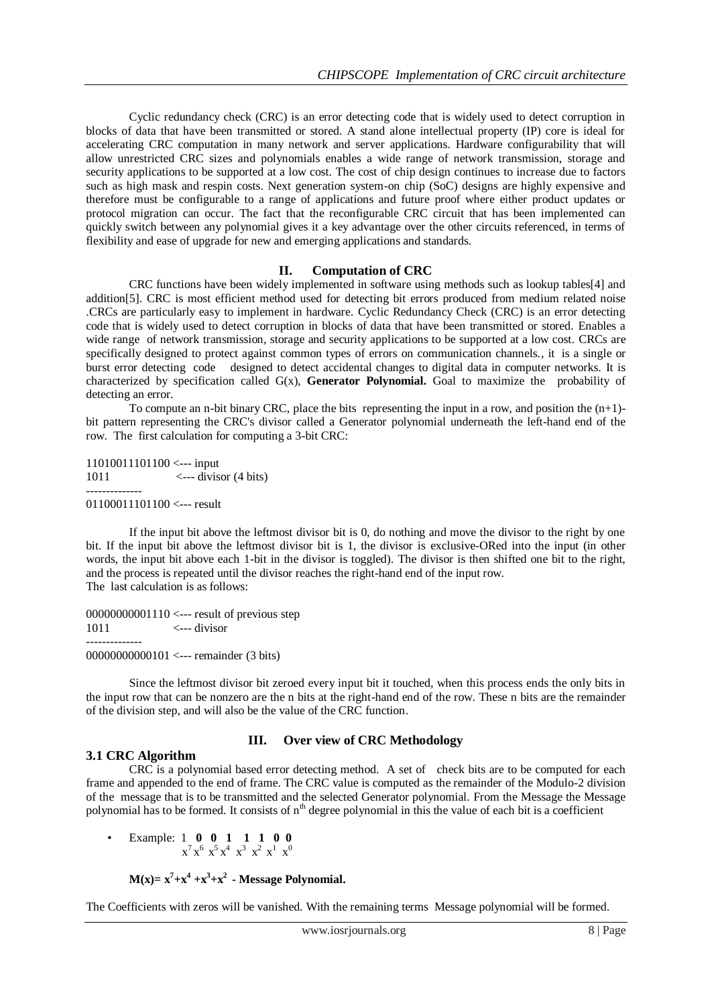Cyclic redundancy check (CRC) is an error detecting code that is widely used to detect corruption in blocks of data that have been transmitted or stored. A stand alone intellectual property (IP) core is ideal for accelerating CRC computation in many network and server applications. Hardware configurability that will allow unrestricted CRC sizes and polynomials enables a wide range of network transmission, storage and security applications to be supported at a low cost. The cost of chip design continues to increase due to factors such as high mask and respin costs. Next generation system-on chip (SoC) designs are highly expensive and therefore must be configurable to a range of applications and future proof where either product updates or protocol migration can occur. The fact that the reconfigurable CRC circuit that has been implemented can quickly switch between any polynomial gives it a key advantage over the other circuits referenced, in terms of flexibility and ease of upgrade for new and emerging applications and standards.

#### **II. Computation of CRC**

CRC functions have been widely implemented in software using methods such as lookup tables[4] and addition[5]. CRC is most efficient method used for detecting bit errors produced from medium related noise .CRCs are particularly easy to implement in hardware. Cyclic Redundancy Check (CRC) is an error detecting code that is widely used to detect corruption in blocks of data that have been transmitted or stored. Enables a wide range of network transmission, storage and security applications to be supported at a low cost. CRCs are specifically designed to protect against common types of errors on communication channels., it is a single or burst error detecting code designed to detect accidental changes to digital data in computer networks. It is characterized by specification called  $G(x)$ , **Generator Polynomial.** Goal to maximize the probability of detecting an error.

To compute an n-bit binary CRC, place the bits representing the input in a row, and position the  $(n+1)$ bit pattern representing the CRC's divisor called a Generator [polynomial](http://en.wikipedia.org/wiki/Polynomial) underneath the left-hand end of the row. The first calculation for computing a 3-bit CRC:

11010011101100 <--- input 1011  $\leftarrow$  divisor (4 bits) -------------- 01100011101100 <--- result

If the input bit above the leftmost divisor bit is 0, do nothing and move the divisor to the right by one bit. If the input bit above the leftmost divisor bit is 1, the divisor is [exclusive-ORed](http://en.wikipedia.org/wiki/Exclusive_or) into the input (in other words, the input bit above each 1-bit in the divisor is toggled). The divisor is then shifted one bit to the right, and the process is repeated until the divisor reaches the right-hand end of the input row. The last calculation is as follows:

00000000001110 <--- result of previous step  $1011$   $\leftarrow$ ---divisor -------------- 00000000000101 <--- remainder (3 bits)

Since the leftmost divisor bit zeroed every input bit it touched, when this process ends the only bits in the input row that can be nonzero are the n bits at the right-hand end of the row. These n bits are the remainder of the division step, and will also be the value of the CRC function.

#### **III. Over view of CRC Methodology**

# **3.1 CRC Algorithm**

CRC is a polynomial based error detecting method. A set of check bits are to be computed for each frame and appended to the end of frame. The CRC value is computed as the remainder of the Modulo-2 division of the message that is to be transmitted and the selected Generator polynomial. From the Message the Message polynomial has to be formed. It consists of n<sup>th</sup> degree polynomial in this the value of each bit is a coefficient

• Example: 1 **0 0 1 1 1 0 0**  $x^7 x^6 x^5 x^4 x^3 x^2 x^1 x^0$ 

 $M(x) = x^7 + x^4 + x^3 + x^2$  - Message Polynomial.

The Coefficients with zeros will be vanished. With the remaining terms Message polynomial will be formed.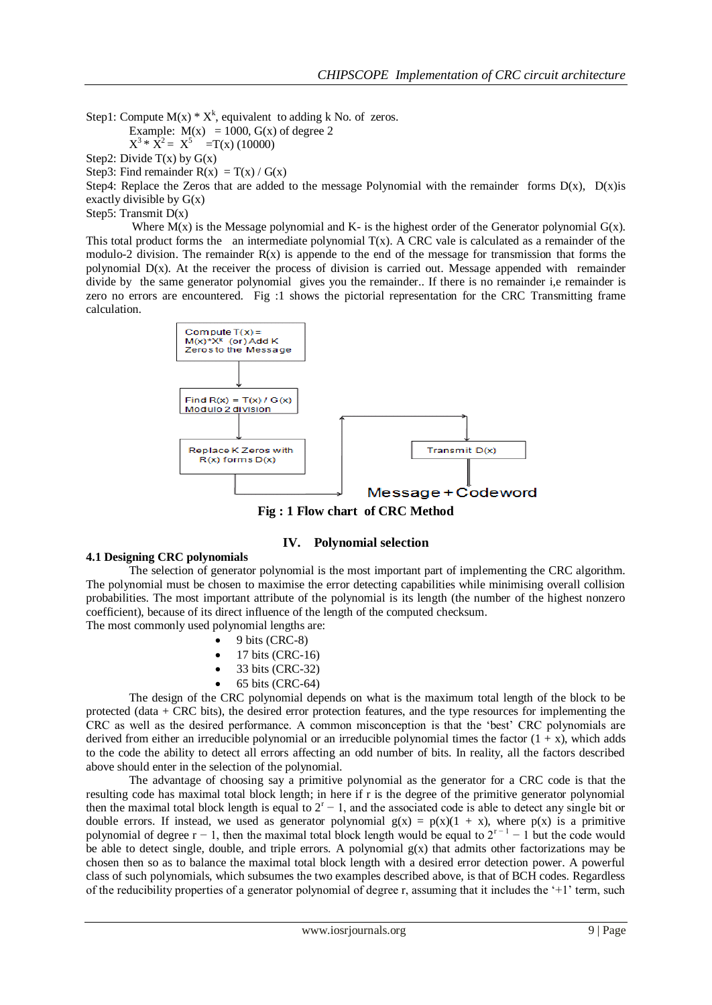Step1: Compute  $M(x) * X^k$ , equivalent to adding k No. of zeros.

Example:  $M(x) = 1000$ ,  $G(x)$  of degree 2

$$
X^3 * X^2 = X^5 = T(x) (10000)
$$

Step2: Divide  $T(x)$  by  $G(x)$ 

Step3: Find remainder  $R(x) = T(x) / G(x)$ 

Step4: Replace the Zeros that are added to the message Polynomial with the remainder forms  $D(x)$ ,  $D(x)$ is exactly divisible by  $G(x)$ 

Step5: Transmit D(x)

Where  $M(x)$  is the Message polynomial and K- is the highest order of the Generator polynomial  $G(x)$ . This total product forms the an intermediate polynomial  $T(x)$ . A CRC vale is calculated as a remainder of the modulo-2 division. The remainder  $R(x)$  is appende to the end of the message for transmission that forms the polynomial D(x). At the receiver the process of division is carried out. Message appended with remainder divide by the same generator polynomial gives you the remainder.. If there is no remainder i,e remainder is zero no errors are encountered. Fig :1 shows the pictorial representation for the CRC Transmitting frame calculation.



**Fig : 1 Flow chart of CRC Method**

# **IV. Polynomial selection**

### **4.1 Designing CRC polynomials**

The selection of generator polynomial is the most important part of implementing the CRC algorithm. The polynomial must be chosen to maximise the error detecting capabilities while minimising overall collision probabilities. The most important attribute of the polynomial is its length (the number of the highest nonzero coefficient), because of its direct influence of the length of the computed checksum. The most commonly used polynomial lengths are:

- 
- 9 bits (CRC-8)
- 17 bits (CRC-16)
- 33 bits (CRC-32)
- 65 bits (CRC-64)

The design of the CRC polynomial depends on what is the maximum total length of the block to be protected (data + CRC bits), the desired error protection features, and the type resources for implementing the CRC as well as the desired performance. A common misconception is that the "best" CRC polynomials are derived from either an [irreducible polynomial](http://en.wikipedia.org/wiki/Irreducible_polynomial) or an irreducible polynomial times the factor  $(1 + x)$ , which adds to the code the ability to detect all errors affecting an odd number of bits. In reality, all the factors described above should enter in the selection of the polynomial.

The advantage of choosing say a primitive polynomial as the generator for a CRC code is that the resulting code has maximal total block length; in here if r is the degree of the primitive generator polynomial then the maximal total block length is equal to  $2<sup>r</sup> - 1$ , and the associated code is able to detect any single bit or double errors. If instead, we used as generator polynomial  $g(x) = p(x)(1 + x)$ , where  $p(x)$  is a primitive polynomial of degree  $r - 1$ , then the maximal total block length would be equal to  $2^{r-1} - 1$  but the code would be able to detect single, double, and triple errors. A polynomial  $g(x)$  that admits other factorizations may be chosen then so as to balance the maximal total block length with a desired error detection power. A powerful class of such polynomials, which subsumes the two examples described above, is that of BCH codes. Regardless of the reducibility properties of a generator polynomial of degree r, assuming that it includes the "+1" term, such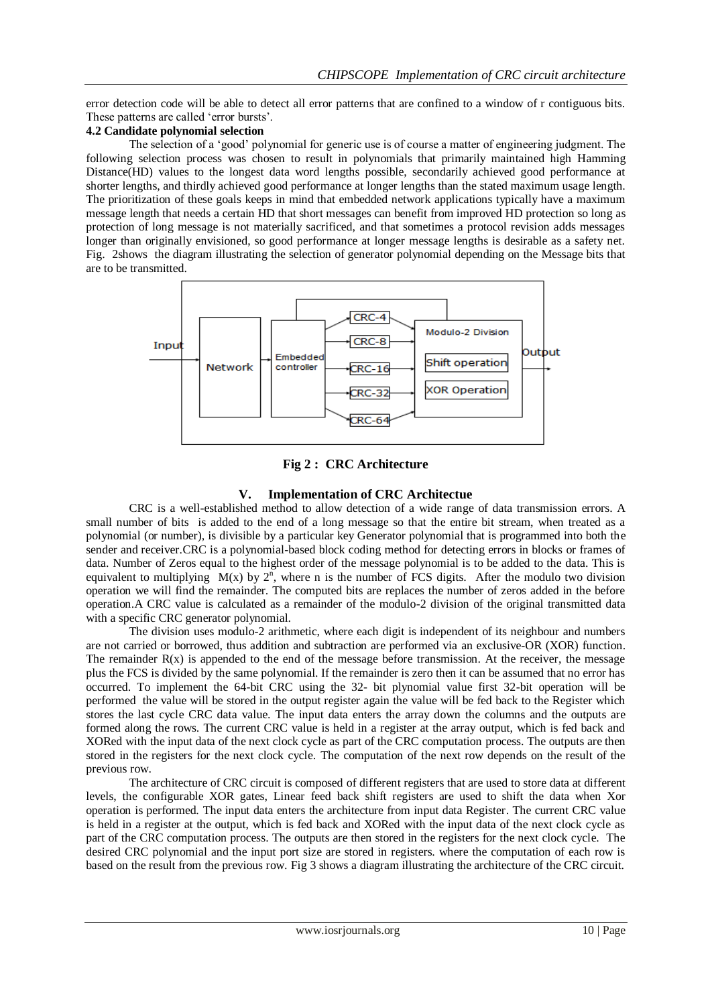error detection code will be able to detect all error patterns that are confined to a window of r contiguous bits. These patterns are called 'error bursts'.

# **4.2 Candidate polynomial selection**

The selection of a "good" polynomial for generic use is of course a matter of engineering judgment. The following selection process was chosen to result in polynomials that primarily maintained high Hamming Distance(HD) values to the longest data word lengths possible, secondarily achieved good performance at shorter lengths, and thirdly achieved good performance at longer lengths than the stated maximum usage length. The prioritization of these goals keeps in mind that embedded network applications typically have a maximum message length that needs a certain HD that short messages can benefit from improved HD protection so long as protection of long message is not materially sacrificed, and that sometimes a protocol revision adds messages longer than originally envisioned, so good performance at longer message lengths is desirable as a safety net. Fig. 2shows the diagram illustrating the selection of generator polynomial depending on the Message bits that are to be transmitted.



# **Fig 2 : CRC Architecture**

#### **V. Implementation of CRC Architectue**

CRC is a well-established method to allow detection of a wide range of data transmission errors. A small number of bits is added to the end of a long message so that the entire bit stream, when treated as a polynomial (or number), is divisible by a particular key Generator polynomial that is programmed into both the sender and receiver.CRC is a polynomial-based block coding method for detecting errors in blocks or frames of data. Number of Zeros equal to the highest order of the message polynomial is to be added to the data. This is equivalent to multiplying  $M(x)$  by  $2^n$ , where n is the number of FCS digits. After the modulo two division operation we will find the remainder. The computed bits are replaces the number of zeros added in the before operation.A CRC value is calculated as a remainder of the modulo-2 division of the original transmitted data with a specific CRC generator polynomial.

The division uses modulo-2 arithmetic, where each digit is independent of its neighbour and numbers are not carried or borrowed, thus addition and subtraction are performed via an exclusive-OR (XOR) function. The remainder  $R(x)$  is appended to the end of the message before transmission. At the receiver, the message plus the FCS is divided by the same polynomial. If the remainder is zero then it can be assumed that no error has occurred. To implement the 64-bit CRC using the 32- bit plynomial value first 32-bit operation will be performed the value will be stored in the output register again the value will be fed back to the Register which stores the last cycle CRC data value. The input data enters the array down the columns and the outputs are formed along the rows. The current CRC value is held in a register at the array output, which is fed back and XORed with the input data of the next clock cycle as part of the CRC computation process. The outputs are then stored in the registers for the next clock cycle. The computation of the next row depends on the result of the previous row.

The architecture of CRC circuit is composed of different registers that are used to store data at different levels, the configurable XOR gates, Linear feed back shift registers are used to shift the data when Xor operation is performed. The input data enters the architecture from input data Register. The current CRC value is held in a register at the output, which is fed back and XORed with the input data of the next clock cycle as part of the CRC computation process. The outputs are then stored in the registers for the next clock cycle. The desired CRC polynomial and the input port size are stored in registers. where the computation of each row is based on the result from the previous row. Fig 3 shows a diagram illustrating the architecture of the CRC circuit.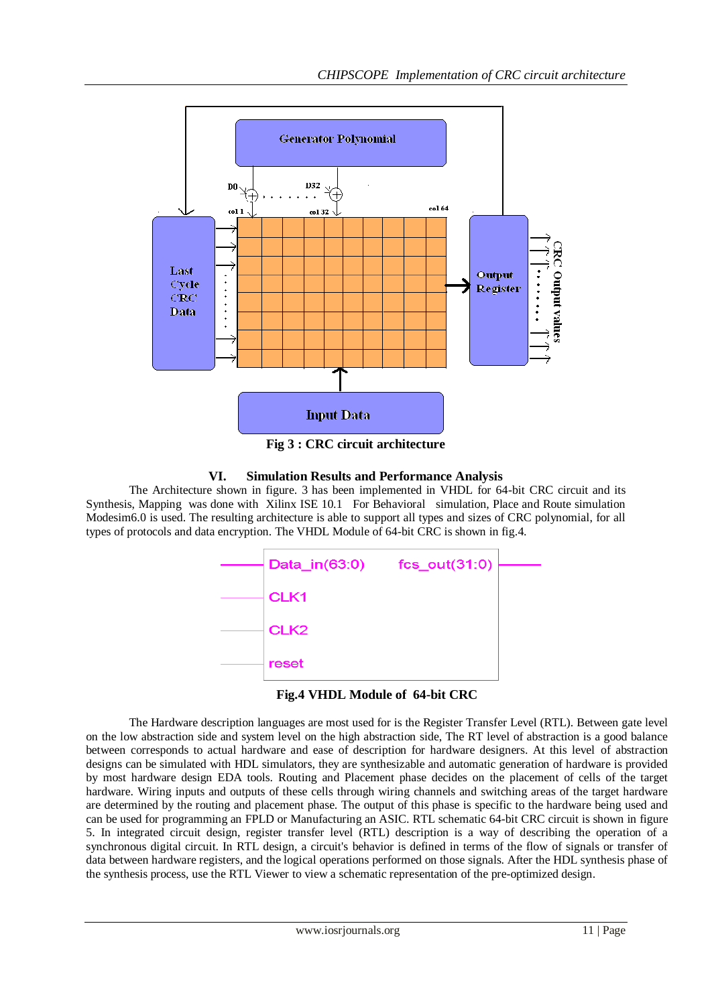

**Fig 3 : CRC circuit architecture**

# **VI. Simulation Results and Performance Analysis**

The Architecture shown in figure. 3 has been implemented in VHDL for 64-bit CRC circuit and its Synthesis, Mapping was done with Xilinx ISE 10.1 For Behavioral simulation, Place and Route simulation Modesim6.0 is used. The resulting architecture is able to support all types and sizes of CRC polynomial, for all types of protocols and data encryption. The VHDL Module of 64-bit CRC is shown in fig.4.

| Data_in(63:0)    | $fcs_out(31:0)$ |  |
|------------------|-----------------|--|
| CLK1             |                 |  |
| CLK <sub>2</sub> |                 |  |
| reset            |                 |  |

**Fig.4 VHDL Module of 64-bit CRC**

The Hardware description languages are most used for is the Register Transfer Level (RTL). Between gate level on the low abstraction side and system level on the high abstraction side, The RT level of abstraction is a good balance between corresponds to actual hardware and ease of description for hardware designers. At this level of abstraction designs can be simulated with HDL simulators, they are synthesizable and automatic generation of hardware is provided by most hardware design EDA tools. Routing and Placement phase decides on the placement of cells of the target hardware. Wiring inputs and outputs of these cells through wiring channels and switching areas of the target hardware are determined by the routing and placement phase. The output of this phase is specific to the hardware being used and can be used for programming an FPLD or Manufacturing an ASIC. RTL schematic 64-bit CRC circuit is shown in figure 5. In integrated circuit design, register transfer level (RTL) description is a way of describing the operation of a synchronous digital circuit. In RTL design, a circuit's behavior is defined in terms of the flow of signals or transfer of data between hardware registers, and the logical operations performed on those signals. After the HDL synthesis phase of the synthesis process, use the RTL Viewer to view a schematic representation of the pre-optimized design.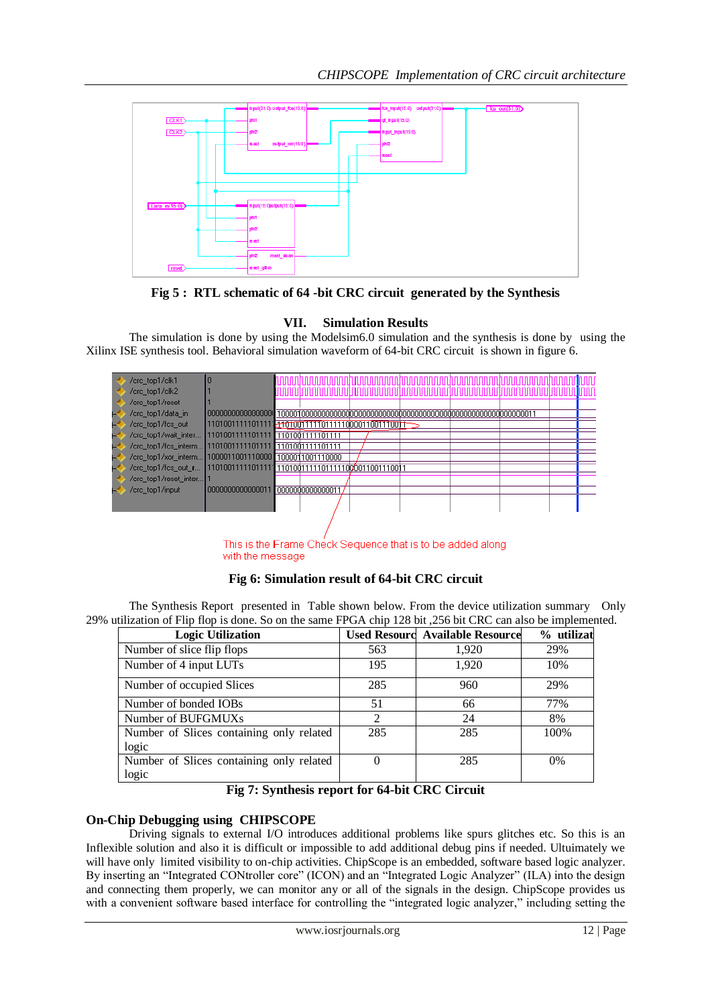

**Fig 5 : RTL schematic of 64 -bit CRC circuit generated by the Synthesis**

# **VII. Simulation Results**

The simulation is done by using the Modelsim6.0 simulation and the synthesis is done by using the Xilinx ISE synthesis tool. Behavioral simulation waveform of 64-bit CRC circuit is shown in figure 6.

| /crc top1/clk1        |                                                  |                 |  |  |  |  |
|-----------------------|--------------------------------------------------|-----------------|--|--|--|--|
| /crc_top1/clk2        |                                                  |                 |  |  |  |  |
| /crc_top1/reset       |                                                  |                 |  |  |  |  |
| /crc_top1/data_in     | 00000000000000000                                |                 |  |  |  |  |
| /crc_top1/fcs_out     |                                                  |                 |  |  |  |  |
| /crc_top1/wait_inter  | 1101001111101111 1101001111101111                |                 |  |  |  |  |
| /crc_top1/fcs_interm  | 1101001111101111 1101001111101111                |                 |  |  |  |  |
| /crc_top1/xor_interm  | 1000011001110000 1000011001110000                |                 |  |  |  |  |
| /crc_top1/fcs_out_r   | 1101001111101111 1101001111101111100001100111001 |                 |  |  |  |  |
| /crc_top1/reset_inter |                                                  |                 |  |  |  |  |
| /crc_top1/input       | 0000000000000011                                 | 000000000000001 |  |  |  |  |
|                       |                                                  |                 |  |  |  |  |
|                       |                                                  |                 |  |  |  |  |
|                       |                                                  |                 |  |  |  |  |

This is the Frame Check Sequence that is to be added along with the message

# **Fig 6: Simulation result of 64-bit CRC circuit**

The Synthesis Report presented in Table shown below. From the device utilization summary Only 29% utilization of Flip flop is done. So on the same FPGA chip 128 bit ,256 bit CRC can also be implemented.

| <b>Logic Utilization</b>                 |                | <b>Used Resourc Available Resource</b> | % utilizat |
|------------------------------------------|----------------|----------------------------------------|------------|
| Number of slice flip flops               | 563            | 1,920                                  | 29%        |
| Number of 4 input LUTs                   | 195            | 1,920                                  | 10%        |
| Number of occupied Slices                | 285            | 960                                    | 29%        |
| Number of bonded IOBs                    | 51             | 66                                     | 77%        |
| Number of BUFGMUXs                       | $\overline{2}$ | 24                                     | 8%         |
| Number of Slices containing only related | 285            | 285                                    | 100%       |
| logic                                    |                |                                        |            |
| Number of Slices containing only related |                | 285                                    | $0\%$      |
| logic                                    |                |                                        |            |

# **Fig 7: Synthesis report for 64-bit CRC Circuit**

# **On-Chip Debugging using CHIPSCOPE**

Driving signals to external I/O introduces additional problems like spurs glitches etc. So this is an Inflexible solution and also it is difficult or impossible to add additional debug pins if needed. Ultuimately we will have only limited visibility to on-chip activities. ChipScope is an embedded, software based logic analyzer. By inserting an "Integrated CONtroller core" (ICON) and an "Integrated Logic Analyzer" (ILA) into the design and connecting them properly, we can monitor any or all of the signals in the design. ChipScope provides us with a convenient software based interface for controlling the "integrated logic analyzer," including setting the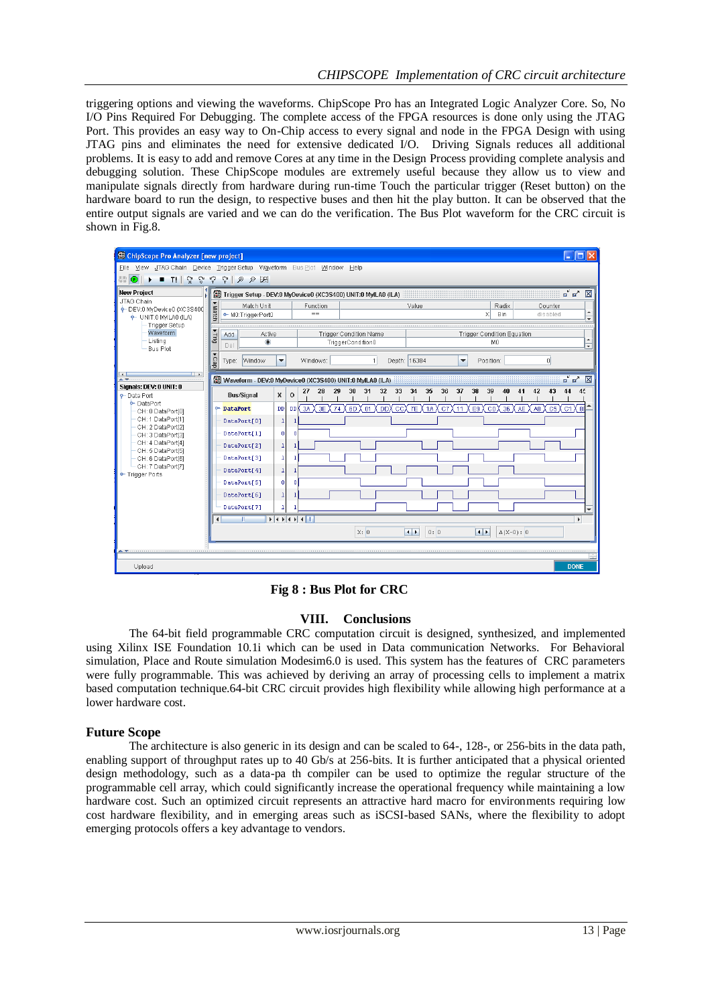triggering options and viewing the waveforms. ChipScope Pro has an Integrated Logic Analyzer Core. So, No I/O Pins Required For Debugging. The complete access of the FPGA resources is done only using the JTAG Port. This provides an easy way to On-Chip access to every signal and node in the FPGA Design with using JTAG pins and eliminates the need for extensive dedicated I/O. Driving Signals reduces all additional problems. It is easy to add and remove Cores at any time in the Design Process providing complete analysis and debugging solution. These ChipScope modules are extremely useful because they allow us to view and manipulate signals directly from hardware during run-time Touch the particular trigger (Reset button) on the hardware board to run the design, to respective buses and then hit the play button. It can be observed that the entire output signals are varied and we can do the verification. The Bus Plot waveform for the CRC circuit is shown in Fig.8.



**Fig 8 : Bus Plot for CRC**

# **VIII. Conclusions**

The 64-bit field programmable CRC computation circuit is designed, synthesized, and implemented using Xilinx ISE Foundation 10.1i which can be used in Data communication Networks. For Behavioral simulation, Place and Route simulation Modesim6.0 is used. This system has the features of CRC parameters were fully programmable. This was achieved by deriving an array of processing cells to implement a matrix based computation technique.64-bit CRC circuit provides high flexibility while allowing high performance at a lower hardware cost.

# **Future Scope**

The architecture is also generic in its design and can be scaled to 64-, 128-, or 256-bits in the data path, enabling support of throughput rates up to 40 Gb/s at 256-bits. It is further anticipated that a physical oriented design methodology, such as a data-pa th compiler can be used to optimize the regular structure of the programmable cell array, which could significantly increase the operational frequency while maintaining a low hardware cost. Such an optimized circuit represents an attractive hard macro for environments requiring low cost hardware flexibility, and in emerging areas such as iSCSI-based SANs, where the flexibility to adopt emerging protocols offers a key advantage to vendors.